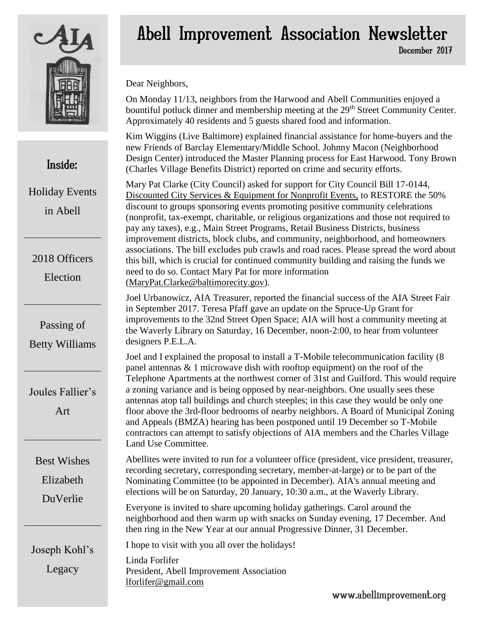

Inside:

Holiday Events

in Abell

2018 Officers

Election

Passing of

Betty Williams

### Abell Improvement Association Newsletter December 2017

Dear Neighbors,

On Monday 11/13, neighbors from the Harwood and Abell Communities enjoyed a bountiful potluck dinner and membership meeting at the 29<sup>th</sup> Street Community Center. Approximately 40 residents and 5 guests shared food and information.

Kim Wiggins (Live Baltimore) explained financial assistance for home-buyers and the new Friends of Barclay Elementary/Middle School. Johnny Macon (Neighborhood Design Center) introduced the Master Planning process for East Harwood. Tony Brown (Charles Village Benefits District) reported on crime and security efforts.

Mary Pat Clarke (City Council) asked for support for City Council Bill 17-0144, Discounted City Services & Equipment for Nonprofit Events, to RESTORE the 50% discount to groups sponsoring events promoting positive community celebrations (nonprofit, tax-exempt, charitable, or religious organizations and those not required to pay any taxes), e.g., Main Street Programs, Retail Business Districts, business improvement districts, block clubs, and community, neighborhood, and homeowners associations. The bill excludes pub crawls and road races. Please spread the word about this bill, which is crucial for continued community building and raising the funds we

Joel Urbanowicz, AIA Treasurer, reported the financial success of the AIA Street Fair improvements to the 32nd Street Open Space; AIA will host a community meeting at the Waverly Library on Saturday, 16 December, noon-2:00, to hear from volunteer

Joel and I explained the proposal to install a T-Mobile telecommunication facility (8 Telephone Apartments at the northwest corner of 31st and Guilford. This would require a zoning variance and is being opposed by near-neighbors. One usually sees these antennas atop tall buildings and church steeples; in this case they would be only one floor above the 3rd-floor bedrooms of nearby neighbors. A Board of Municipal Zoning and Appeals (BMZA) hearing has been postponed until 19 December so T-Mobile contractors can attempt to satisfy objections of AIA members and the Charles Village Land Use Committee.

Abellites were invited to run for a volunteer office (president, vice president, treasurer, recording secretary, corresponding secretary, member-at-large) or to be part of the Nominating Committee (to be appointed in December). AIA's annual meeting and elections will be on Saturday, 20 January, 10:30 a.m., at the Waverly Library.

Everyone is invited to share upcoming holiday gatherings. Carol around the neighborhood and then warm up with snacks on Sunday evening, 17 December. And then ring in the New Year at our annual Progressive Dinner, 31 December.

I hope to visit with you all over the holidays!

Linda Forlifer President, Abell Improvement Association [lforlifer@gmail.com](mailto:lforlifer@gmail.com)

need to do so. Contact Mary Pat for more information [\(MaryPat.Clarke@baltimorecity.gov\)](mailto:MaryPat.Clarke@baltimorecity.gov). in September 2017. Teresa Pfaff gave an update on the Spruce-Up Grant for designers P.E.L.A. panel antennas & 1 microwave dish with rooftop equipment) on the roof of the

Joules Fallier's

Art

Best Wishes Elizabeth

DuVerlie

Joseph Kohl's

Legacy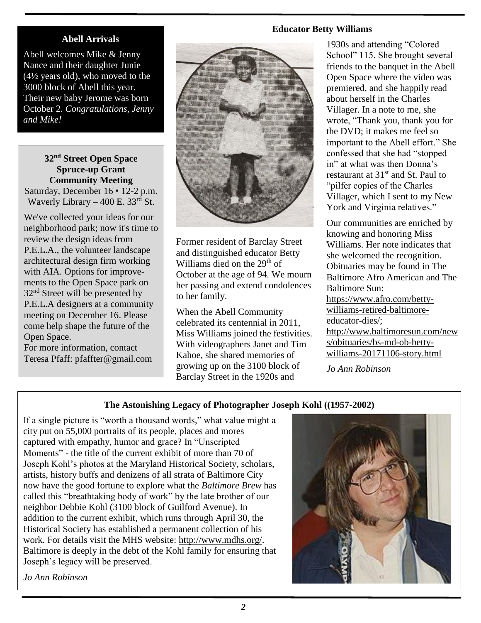#### **Abell Arrivals**

Abell welcomes Mike & Jenny Nance and their daughter Junie (4½ years old), who moved to the 3000 block of Abell this year. Their new baby Jerome was born October 2. *Congratulations, Jenny and Mike!*

**32nd Street Open Space Spruce-up Grant Community Meeting** Saturday, December 16 • 12-2 p.m. Waverly Library – 400 E.  $33<sup>rd</sup>$  St.

We've collected your ideas for our neighborhood park; now it's time to review the design ideas from P.E.L.A., the volunteer landscape architectural design firm working with AIA. Options for improvements to the Open Space park on 32<sup>nd</sup> Street will be presented by P.E.L.A designers at a community meeting on December 16. Please come help shape the future of the Open Space.

For more information, contact Teresa Pfaff: [pfaffter@gmail.com](mailto:pfaffter@gmail.com) 



Former resident of Barclay Street and distinguished educator Betty Williams died on the  $29<sup>th</sup>$  of October at the age of 94. We mourn her passing and extend condolences to her family.

When the Abell Community celebrated its centennial in 2011, Miss Williams joined the festivities. With videographers Janet and Tim Kahoe, she shared memories of growing up on the 3100 block of Barclay Street in the 1920s and

#### **Educator Betty Williams**

1930s and attending "Colored School" 115. She brought several friends to the banquet in the Abell Open Space where the video was premiered, and she happily read about herself in the Charles Villager. In a note to me, she wrote, "Thank you, thank you for the DVD; it makes me feel so important to the Abell effort." She confessed that she had "stopped in" at what was then Donna's restaurant at 31<sup>st</sup> and St. Paul to "pilfer copies of the Charles Villager, which I sent to my New York and Virginia relatives."

Our communities are enriched by knowing and honoring Miss Williams. Her note indicates that she welcomed the recognition. Obituaries may be found in The Baltimore Afro American and The Baltimore Sun: [https://www.afro.com/betty](https://www.afro.com/betty-williams-retired-baltimore-educator-dies/)[williams-retired-baltimore](https://www.afro.com/betty-williams-retired-baltimore-educator-dies/)[educator-dies/;](https://www.afro.com/betty-williams-retired-baltimore-educator-dies/) [http://www.baltimoresun.com/new](http://www.baltimoresun.com/news/obituaries/bs-md-ob-betty-williams-20171106-story.html) [s/obituaries/bs-md-ob-betty](http://www.baltimoresun.com/news/obituaries/bs-md-ob-betty-williams-20171106-story.html)[williams-20171106-story.html](http://www.baltimoresun.com/news/obituaries/bs-md-ob-betty-williams-20171106-story.html)

*Jo Ann Robinson*

#### **The Astonishing Legacy of Photographer Joseph Kohl ((1957-2002)**

If a single picture is "worth a thousand words," what value might a city put on 55,000 portraits of its people, places and mores captured with empathy, humor and grace? In "Unscripted Moments" - the title of the current exhibit of more than 70 of Joseph Kohl's photos at the Maryland Historical Society, scholars, artists, history buffs and denizens of all strata of Baltimore City now have the good fortune to explore what the *Baltimore Brew* has called this "breathtaking body of work" by the late brother of our neighbor Debbie Kohl (3100 block of Guilford Avenue). In addition to the current exhibit, which runs through April 30, the Historical Society has established a permanent collection of his work. For details visit the MHS website: [http://www.mdhs.org/.](http://www.mdhs.org/) Baltimore is deeply in the debt of the Kohl family for ensuring that Joseph's legacy will be preserved.



*Jo Ann Robinson*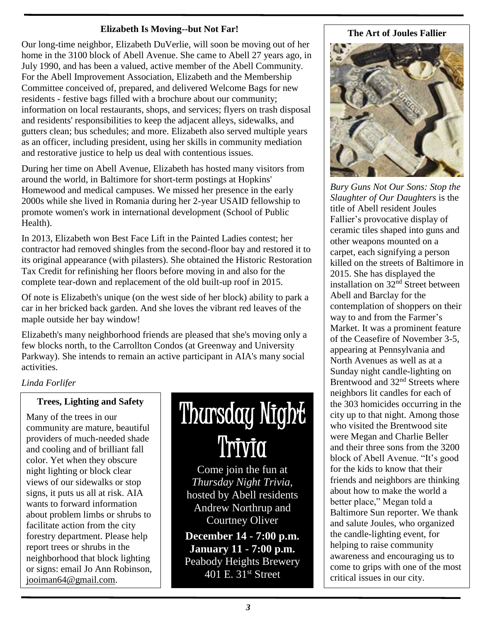#### **Elizabeth Is Moving--but Not Far!**

Our long-time neighbor, Elizabeth DuVerlie, will soon be moving out of her home in the 3100 block of Abell Avenue. She came to Abell 27 years ago, in July 1990, and has been a valued, active member of the Abell Community. For the Abell Improvement Association, Elizabeth and the Membership Committee conceived of, prepared, and delivered Welcome Bags for new residents - festive bags filled with a brochure about our community; information on local restaurants, shops, and services; flyers on trash disposal and residents' responsibilities to keep the adjacent alleys, sidewalks, and gutters clean; bus schedules; and more. Elizabeth also served multiple years as an officer, including president, using her skills in community mediation and restorative justice to help us deal with contentious issues.

During her time on Abell Avenue, Elizabeth has hosted many visitors from around the world, in Baltimore for short-term postings at Hopkins' Homewood and medical campuses. We missed her presence in the early 2000s while she lived in Romania during her 2-year USAID fellowship to promote women's work in international development (School of Public Health).

In 2013, Elizabeth won Best Face Lift in the Painted Ladies contest; her contractor had removed shingles from the second-floor bay and restored it to its original appearance (with pilasters). She obtained the Historic Restoration Tax Credit for refinishing her floors before moving in and also for the complete tear-down and replacement of the old built-up roof in 2015.

Of note is Elizabeth's unique (on the west side of her block) ability to park a car in her bricked back garden. And she loves the vibrant red leaves of the maple outside her bay window!

Elizabeth's many neighborhood friends are pleased that she's moving only a few blocks north, to the Carrollton Condos (at Greenway and University Parkway). She intends to remain an active participant in AIA's many social activities.

#### *Linda Forlifer*

#### **Trees, Lighting and Safety**

Many of the trees in our community are mature, beautiful providers of much-needed shade and cooling and of brilliant fall color. Yet when they obscure night lighting or block clear views of our sidewalks or stop signs, it puts us all at risk. AIA wants to forward information about problem limbs or shrubs to facilitate action from the city forestry department. Please help report trees or shrubs in the neighborhood that block lighting or signs: email Jo Ann Robinson, [jooiman64@gmail.com.](mailto:jooiman64@gmail.com)

# Thursday Night Trivia

Come join the fun at *Thursday Night Trivia,* hosted by Abell residents Andrew Northrup and Courtney Oliver

**December 14 - 7:00 p.m. January 11 - 7:00 p.m.** Peabody Heights Brewery 401 E. 31<sup>st</sup> Street

#### **The Art of Joules Fallier**



*Bury Guns Not Our Sons: Stop the Slaughter of Our Daughters* is the title of Abell resident Joules Fallier's provocative display of ceramic tiles shaped into guns and other weapons mounted on a carpet, each signifying a person killed on the streets of Baltimore in 2015. She has displayed the installation on 32nd Street between Abell and Barclay for the contemplation of shoppers on their way to and from the Farmer's Market. It was a prominent feature of the Ceasefire of November 3-5, appearing at Pennsylvania and North Avenues as well as at a Sunday night candle-lighting on Brentwood and 32<sup>nd</sup> Streets where neighbors lit candles for each of the 303 homicides occurring in the city up to that night. Among those who visited the Brentwood site were Megan and Charlie Beller and their three sons from the 3200 block of Abell Avenue. "It's good for the kids to know that their friends and neighbors are thinking about how to make the world a better place," Megan told a Baltimore Sun reporter. We thank and salute Joules, who organized the candle-lighting event, for helping to raise community awareness and encouraging us to come to grips with one of the most critical issues in our city.